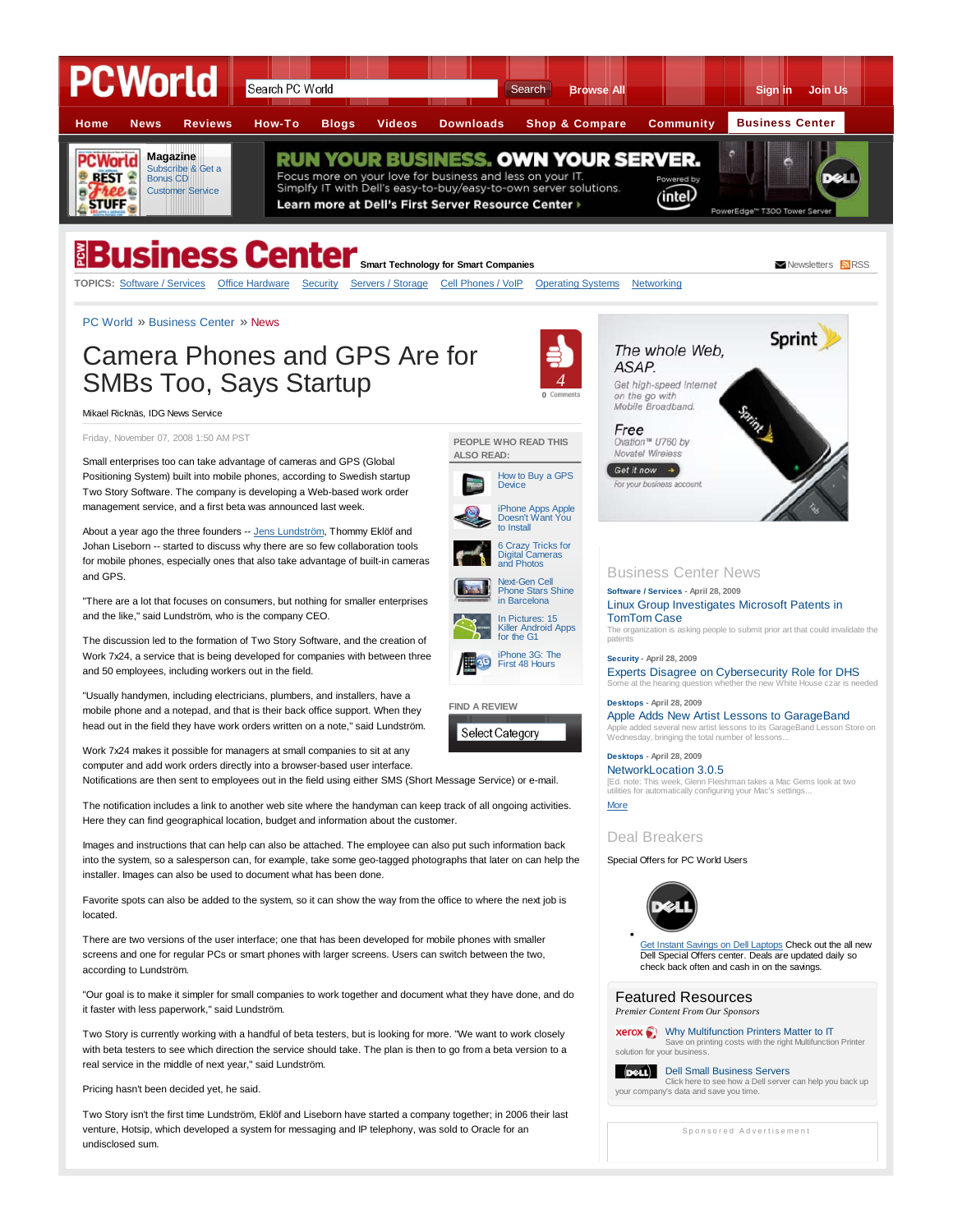

Small enterprises too can take advantage of cameras and GPS (Global Positioning System) built into mobile phones, according to Swedish startup Two Story Software. The company is developing a Web-based work order management service, and a first beta was announced last week.

About a year ago the three founders -- Jens Lundström, Thommy Eklöf and Johan Liseborn -- started to discuss why there are so few collaboration tools for mobile phones, especially ones that also take advantage of built-in cameras and GPS.

"There are a lot that focuses on consumers, but nothing for smaller enterprises and the like," said Lundström, who is the company CEO.

The discussion led to the formation of Two Story Software, and the creation of Work 7x24, a service that is being developed for companies with between three and 50 employees, including workers out in the field.

"Usually handymen, including electricians, plumbers, and installers, have a mobile phone and a notepad, and that is their back office support. When they head out in the field they have work orders written on a note," said Lundström.

Work 7x24 makes it possible for managers at small companies to sit at any computer and add work orders directly into a browser-based user interface. Notifications are then sent to employees out in the field using either SMS (Short Message Service) or e-mail.

The notification includes a link to another web site where the handyman can keep track of all ongoing activities. Here they can find geographical location, budget and information about the customer.

Images and instructions that can help can also be attached. The employee can also put such information back into the system, so a salesperson can, for example, take some geo-tagged photographs that later on can help the installer. Images can also be used to document what has been done.

Favorite spots can also be added to the system, so it can show the way from the office to where the next job is located.

There are two versions of the user interface; one that has been developed for mobile phones with smaller screens and one for regular PCs or smart phones with larger screens. Users can switch between the two, according to Lundström.

"Our goal is to make it simpler for small companies to work together and document what they have done, and do it faster with less paperwork," said Lundström.

Two Story is currently working with a handful of beta testers, but is looking for more. "We want to work closely with beta testers to see which direction the service should take. The plan is then to go from a beta version to a real service in the middle of next year," said Lundström.

Pricing hasn't been decided yet, he said.

Two Story isn't the first time Lundström, Eklöf and Liseborn have started a company together; in 2006 their last venture, Hotsip, which developed a system for messaging and IP telephony, was sold to Oracle for an undisclosed sum.

Free Ovation™ U760 by

Novatel Wireless Get it now  $\rightarrow$ 

**Software / Services - April 28, 2009**

Business Center News

TomTom Case

**Security - April 28, 2009**

**Desktops - April 28, 2009**

patents



How to Buy a GPS Device



**PEOPLE WHO READ THIS**

**ALSO READ:**





**FIND A REVIEW**

Select Category

**Desktops - April 28, 2009** NetworkLocation 3.0.5 [Ed. note: This week, Glenn Fleishman takes a Mac Gems look at two utilities for automatically configuring your Mac's settings. More

Wednesday, bringing the total number of lessons...

Linux Group Investigates Microsoft Patents in

The organization is asking people to submit prior art that could invalidate the

Some at the hearing question whether the new White House czar is needed

Experts Disagree on Cybersecurity Role for DHS

Apple Adds New Artist Lessons to GarageBand Apple added several new artist lessons to its GarageBand Lesson Store on

# Deal Breakers

Special Offers for PC World Users



Get Instant Savings on Dell Laptops Check out the all new Dell Special Offers center. Deals are updated daily so check back often and cash in on the savings.

# Featured Resources

*Premier Content From Our Sponsors*

**xerox** Why Multifunction Printers Matter to IT Save on printing costs with the right Multifunction Printer solution for your business.

Dell Small Business Servers Click here to see how a Dell server can help you back up your company's data and save you time.

Sponsored Advertisement